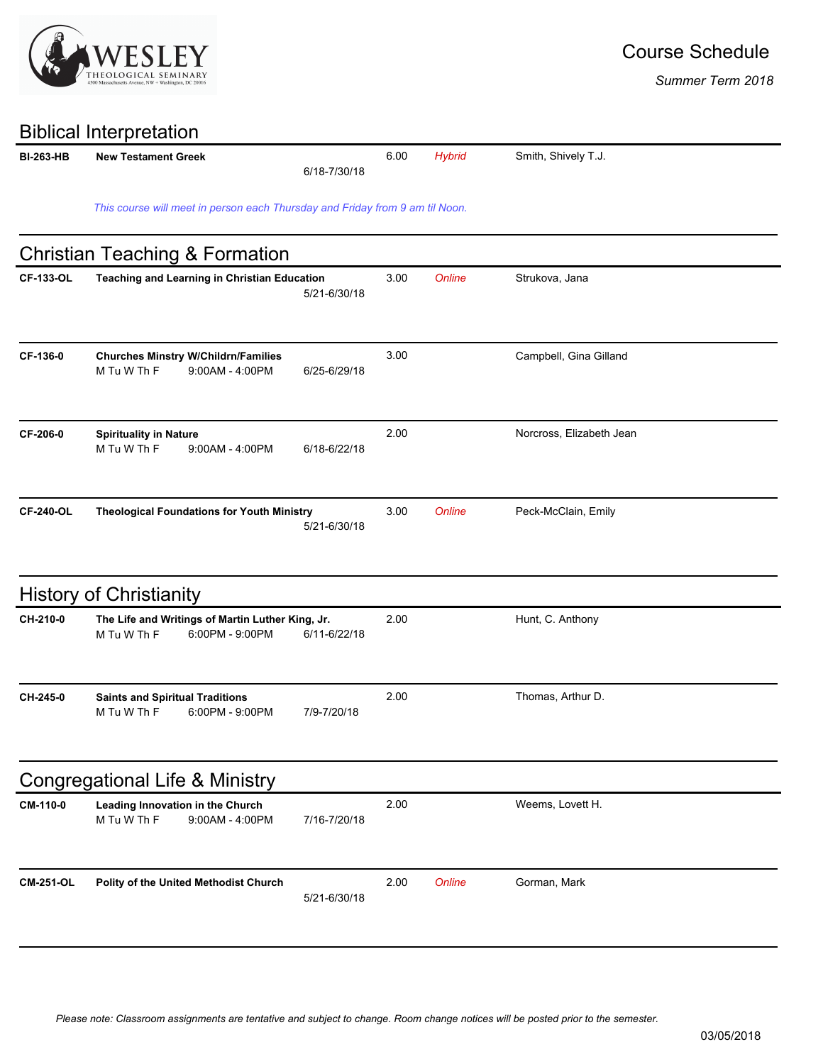

*Summer Term 2018*

|                  | <b>Biblical Interpretation</b>                                                     |              |      |               |                          |  |
|------------------|------------------------------------------------------------------------------------|--------------|------|---------------|--------------------------|--|
| <b>BI-263-HB</b> | <b>New Testament Greek</b>                                                         | 6/18-7/30/18 | 6.00 | <b>Hybrid</b> | Smith, Shively T.J.      |  |
|                  | This course will meet in person each Thursday and Friday from 9 am til Noon.       |              |      |               |                          |  |
|                  | <b>Christian Teaching &amp; Formation</b>                                          |              |      |               |                          |  |
| <b>CF-133-OL</b> | <b>Teaching and Learning in Christian Education</b>                                | 5/21-6/30/18 | 3.00 | Online        | Strukova, Jana           |  |
| CF-136-0         | <b>Churches Minstry W/Childrn/Families</b><br>M Tu W Th F<br>9:00AM - 4:00PM       | 6/25-6/29/18 | 3.00 |               | Campbell, Gina Gilland   |  |
| CF-206-0         | <b>Spirituality in Nature</b><br>M Tu W Th F<br>$9:00AM - 4:00PM$                  | 6/18-6/22/18 | 2.00 |               | Norcross, Elizabeth Jean |  |
| <b>CF-240-OL</b> | <b>Theological Foundations for Youth Ministry</b>                                  | 5/21-6/30/18 | 3.00 | Online        | Peck-McClain, Emily      |  |
|                  | <b>History of Christianity</b>                                                     |              |      |               |                          |  |
| CH-210-0         | The Life and Writings of Martin Luther King, Jr.<br>M Tu W Th F<br>6:00PM - 9:00PM | 6/11-6/22/18 | 2.00 |               | Hunt, C. Anthony         |  |
| CH-245-0         | <b>Saints and Spiritual Traditions</b><br>M Tu W Th F<br>6:00PM - 9:00PM           | 7/9-7/20/18  | 2.00 |               | Thomas, Arthur D.        |  |
|                  | Congregational Life & Ministry                                                     |              |      |               |                          |  |
| CM-110-0         | Leading Innovation in the Church<br>M Tu W Th F<br>9:00AM - 4:00PM                 | 7/16-7/20/18 | 2.00 |               | Weems, Lovett H.         |  |
| <b>CM-251-OL</b> | Polity of the United Methodist Church                                              | 5/21-6/30/18 | 2.00 | <b>Online</b> | Gorman, Mark             |  |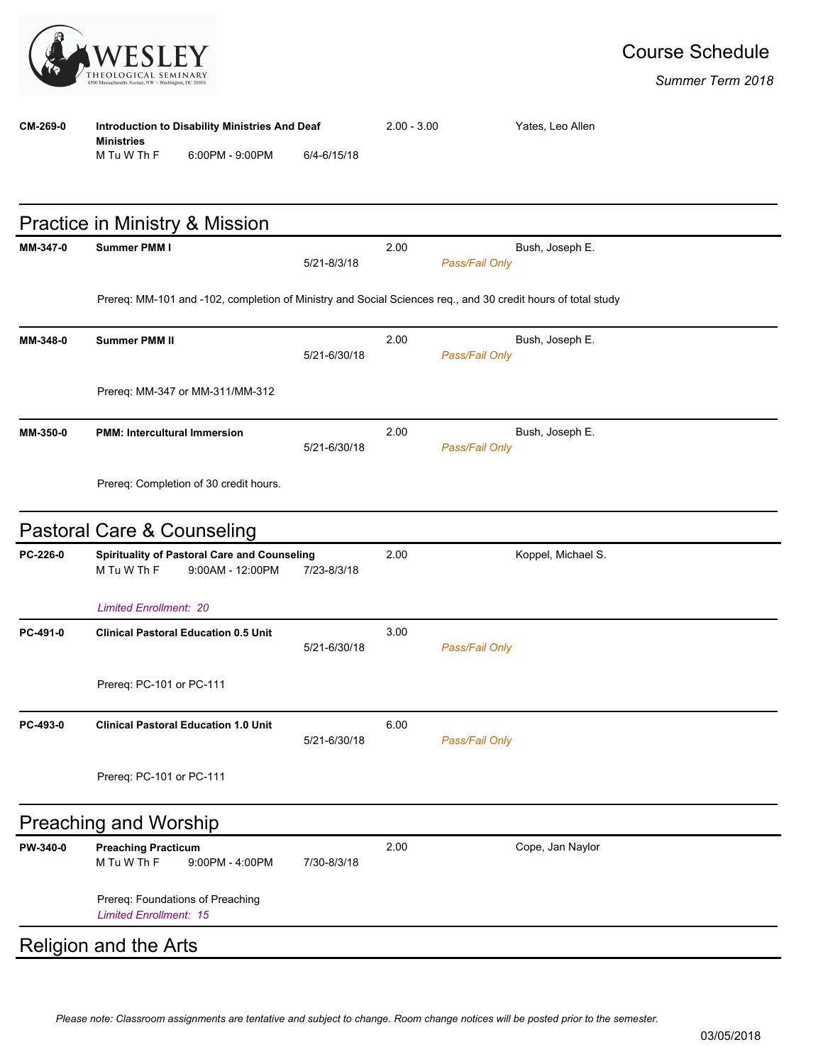

| <b>TR</b> | THEOLOGICAL SEMINARY<br>4500 Massachusetts Avenue, NW + Washington, DC 20016                                 |              |               |                |                    | Summer Term 2018 |
|-----------|--------------------------------------------------------------------------------------------------------------|--------------|---------------|----------------|--------------------|------------------|
| CM-269-0  | Introduction to Disability Ministries And Deaf<br><b>Ministries</b><br>M Tu W Th F<br>6:00PM - 9:00PM        | 6/4-6/15/18  | $2.00 - 3.00$ |                | Yates, Leo Allen   |                  |
|           | Practice in Ministry & Mission                                                                               |              |               |                |                    |                  |
| MM-347-0  | Summer PMM I                                                                                                 | 5/21-8/3/18  | 2.00          | Pass/Fail Only | Bush, Joseph E.    |                  |
|           | Prereq: MM-101 and -102, completion of Ministry and Social Sciences req., and 30 credit hours of total study |              |               |                |                    |                  |
| MM-348-0  | <b>Summer PMM II</b>                                                                                         | 5/21-6/30/18 | 2.00          | Pass/Fail Only | Bush, Joseph E.    |                  |
|           | Prereq: MM-347 or MM-311/MM-312                                                                              |              |               |                |                    |                  |
| MM-350-0  | <b>PMM: Intercultural Immersion</b>                                                                          | 5/21-6/30/18 | 2.00          | Pass/Fail Only | Bush, Joseph E.    |                  |
|           | Prereq: Completion of 30 credit hours.                                                                       |              |               |                |                    |                  |
|           | Pastoral Care & Counseling                                                                                   |              |               |                |                    |                  |
| PC-226-0  | Spirituality of Pastoral Care and Counseling<br>M Tu W Th F<br>$9:00AM - 12:00PM$                            | 7/23-8/3/18  | 2.00          |                | Koppel, Michael S. |                  |
|           | <b>Limited Enrollment: 20</b>                                                                                |              |               |                |                    |                  |
| PC-491-0  | <b>Clinical Pastoral Education 0.5 Unit</b>                                                                  | 5/21-6/30/18 | 3.00          | Pass/Fail Only |                    |                  |
|           | Prereq: PC-101 or PC-111                                                                                     |              |               |                |                    |                  |
| PC-493-0  | <b>Clinical Pastoral Education 1.0 Unit</b>                                                                  | 5/21-6/30/18 | 6.00          | Pass/Fail Only |                    |                  |
|           | Prereq: PC-101 or PC-111                                                                                     |              |               |                |                    |                  |
|           | <b>Preaching and Worship</b>                                                                                 |              |               |                |                    |                  |
| PW-340-0  | <b>Preaching Practicum</b><br>M Tu W Th F<br>9:00PM - 4:00PM                                                 | 7/30-8/3/18  | 2.00          |                | Cope, Jan Naylor   |                  |
|           | Prereq: Foundations of Preaching<br><b>Limited Enrollment: 15</b>                                            |              |               |                |                    |                  |

## Religion and the Arts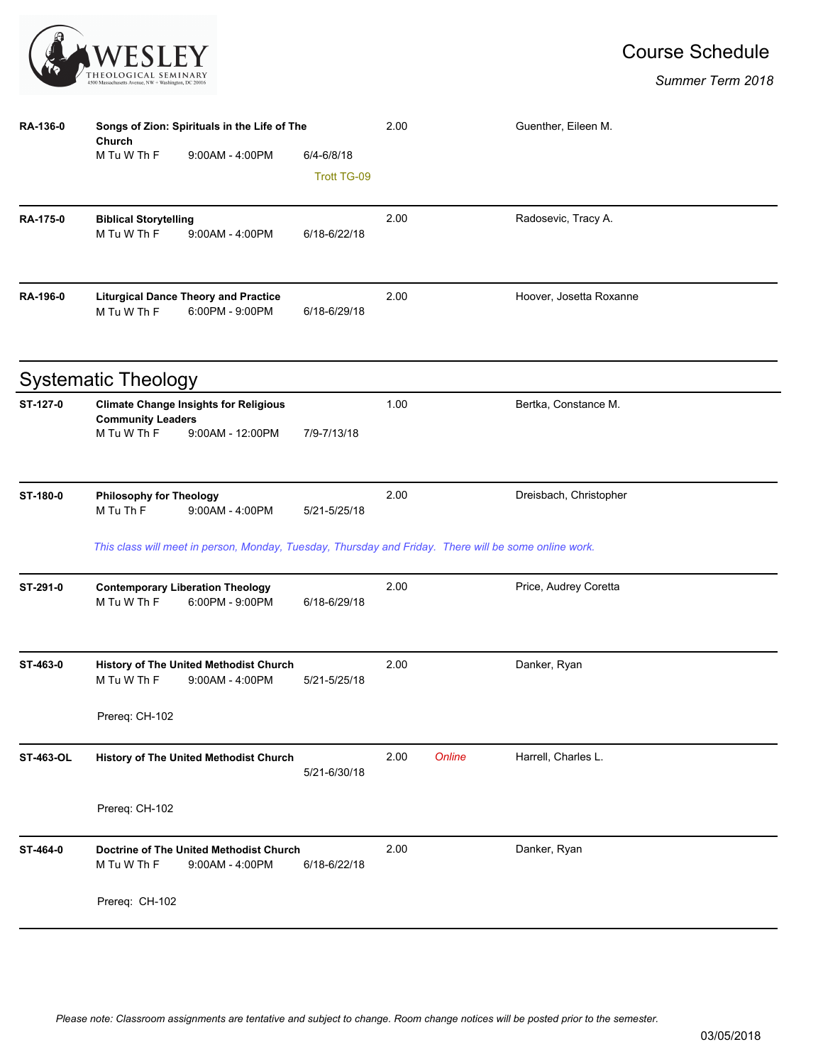

## Course Schedule

| RA-136-0         | Songs of Zion: Spirituals in the Life of The |                                                                                                       |                    |      |        | Guenther, Eileen M.     |  |
|------------------|----------------------------------------------|-------------------------------------------------------------------------------------------------------|--------------------|------|--------|-------------------------|--|
|                  | Church<br>M Tu W Th F                        | $9:00AM - 4:00PM$                                                                                     | $6/4 - 6/8/18$     |      |        |                         |  |
|                  |                                              |                                                                                                       | <b>Trott TG-09</b> |      |        |                         |  |
|                  |                                              |                                                                                                       |                    |      |        |                         |  |
| <b>RA-175-0</b>  | <b>Biblical Storytelling</b><br>M Tu W Th F  | $9:00AM - 4:00PM$                                                                                     | 6/18-6/22/18       | 2.00 |        | Radosevic, Tracy A.     |  |
|                  |                                              |                                                                                                       |                    |      |        |                         |  |
|                  |                                              |                                                                                                       |                    |      |        |                         |  |
| RA-196-0         | M Tu W Th F                                  | <b>Liturgical Dance Theory and Practice</b><br>6:00PM - 9:00PM                                        | 6/18-6/29/18       | 2.00 |        | Hoover, Josetta Roxanne |  |
|                  |                                              |                                                                                                       |                    |      |        |                         |  |
|                  | <b>Systematic Theology</b>                   |                                                                                                       |                    |      |        |                         |  |
| ST-127-0         |                                              | <b>Climate Change Insights for Religious</b>                                                          |                    | 1.00 |        | Bertka, Constance M.    |  |
|                  | <b>Community Leaders</b><br>M Tu W Th F      | 9:00AM - 12:00PM                                                                                      | 7/9-7/13/18        |      |        |                         |  |
|                  |                                              |                                                                                                       |                    |      |        |                         |  |
| ST-180-0         | <b>Philosophy for Theology</b>               |                                                                                                       |                    | 2.00 |        | Dreisbach, Christopher  |  |
|                  | M Tu Th F                                    | 9:00AM - 4:00PM                                                                                       | 5/21-5/25/18       |      |        |                         |  |
|                  |                                              | This class will meet in person, Monday, Tuesday, Thursday and Friday. There will be some online work. |                    |      |        |                         |  |
| ST-291-0         |                                              | <b>Contemporary Liberation Theology</b>                                                               |                    | 2.00 |        | Price, Audrey Coretta   |  |
|                  | M Tu W Th F                                  | 6:00PM - 9:00PM                                                                                       | 6/18-6/29/18       |      |        |                         |  |
|                  |                                              |                                                                                                       |                    |      |        |                         |  |
| ST-463-0         |                                              | History of The United Methodist Church                                                                |                    | 2.00 |        | Danker, Ryan            |  |
|                  | M Tu W Th F                                  | $9:00AM - 4:00PM$                                                                                     | 5/21-5/25/18       |      |        |                         |  |
|                  | Prereq: CH-102                               |                                                                                                       |                    |      |        |                         |  |
| <b>ST-463-OL</b> |                                              | History of The United Methodist Church                                                                |                    | 2.00 | Online | Harrell, Charles L.     |  |
|                  |                                              |                                                                                                       | 5/21-6/30/18       |      |        |                         |  |
|                  | Prereq: CH-102                               |                                                                                                       |                    |      |        |                         |  |
| ST-464-0         | Doctrine of The United Methodist Church      |                                                                                                       |                    | 2.00 |        | Danker, Ryan            |  |
|                  | M Tu W Th F                                  | $9:00AM - 4:00PM$                                                                                     | 6/18-6/22/18       |      |        |                         |  |
|                  | Prereq: CH-102                               |                                                                                                       |                    |      |        |                         |  |
|                  |                                              |                                                                                                       |                    |      |        |                         |  |